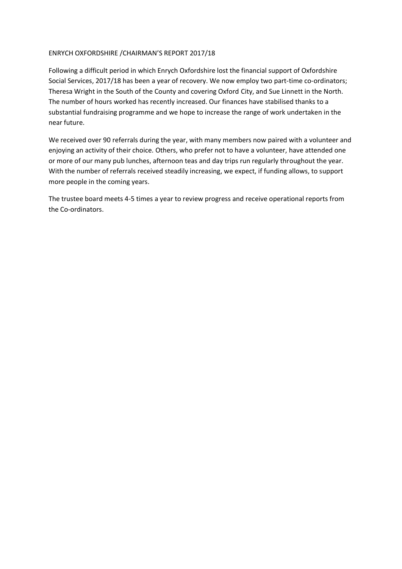#### ENRYCH OXFORDSHIRE /CHAIRMAN'S REPORT 2017/18

Following a difficult period in which Enrych Oxfordshire lost the financial support of Oxfordshire Social Services, 2017/18 has been a year of recovery. We now employ two part-time co-ordinators; Theresa Wright in the South of the County and covering Oxford City, and Sue Linnett in the North. The number of hours worked has recently increased. Our finances have stabilised thanks to a substantial fundraising programme and we hope to increase the range of work undertaken in the near future.

We received over 90 referrals during the year, with many members now paired with a volunteer and enjoying an activity of their choice. Others, who prefer not to have a volunteer, have attended one or more of our many pub lunches, afternoon teas and day trips run regularly throughout the year. With the number of referrals received steadily increasing, we expect, if funding allows, to support more people in the coming years.

The trustee board meets 4-5 times a year to review progress and receive operational reports from the Co-ordinators.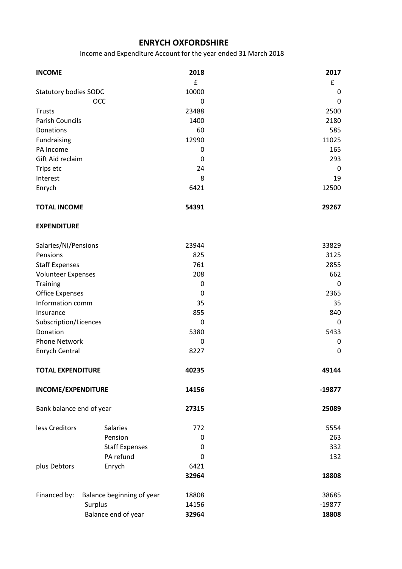## ENRYCH OXFORDSHIRE **ENRYCH OXFORDSHIRE**

Income and Expenditure Account for the year ended 31 March 2018

| <b>INCOME</b>                |                           | 2018        | 2017        |
|------------------------------|---------------------------|-------------|-------------|
|                              |                           | £           | £           |
| <b>Statutory bodies SODC</b> |                           | 10000       | 0           |
|                              | OCC                       | 0           | 0           |
| <b>Trusts</b>                |                           | 23488       | 2500        |
| <b>Parish Councils</b>       |                           | 1400        | 2180        |
| Donations                    |                           | 60          | 585         |
| Fundraising                  |                           | 12990       | 11025       |
| PA Income                    |                           | $\mathbf 0$ | 165         |
| Gift Aid reclaim             |                           | 0           | 293         |
| Trips etc                    |                           | 24          | 0           |
| Interest                     |                           | 8           | 19          |
| Enrych                       |                           | 6421        | 12500       |
| <b>TOTAL INCOME</b>          |                           | 54391       | 29267       |
| <b>EXPENDITURE</b>           |                           |             |             |
| Salaries/NI/Pensions         |                           | 23944       | 33829       |
| Pensions                     |                           | 825         | 3125        |
| <b>Staff Expenses</b>        |                           | 761         | 2855        |
| <b>Volunteer Expenses</b>    |                           | 208         | 662         |
| <b>Training</b>              |                           | $\mathbf 0$ | 0           |
| <b>Office Expenses</b>       |                           | 0           | 2365        |
| Information comm             |                           | 35          | 35          |
| Insurance                    |                           | 855         | 840         |
| Subscription/Licences        |                           | 0           | 0           |
| Donation                     |                           | 5380        | 5433        |
| <b>Phone Network</b>         |                           | $\mathbf 0$ | $\pmb{0}$   |
| <b>Enrych Central</b>        |                           | 8227        | $\mathbf 0$ |
| <b>TOTAL EXPENDITURE</b>     |                           | 40235       | 49144       |
| <b>INCOME/EXPENDITURE</b>    |                           | 14156       | $-19877$    |
| Bank balance end of year     |                           | 27315       | 25089       |
| less Creditors               | <b>Salaries</b>           | 772         | 5554        |
|                              | Pension                   | 0           | 263         |
|                              | <b>Staff Expenses</b>     | 0           | 332         |
|                              | PA refund                 | $\Omega$    | 132         |
| plus Debtors                 | Enrych                    | 6421        |             |
|                              |                           | 32964       | 18808       |
| Financed by:                 | Balance beginning of year | 18808       | 38685       |
|                              | Surplus                   | 14156       | $-19877$    |
|                              | Balance end of year       | 32964       | 18808       |